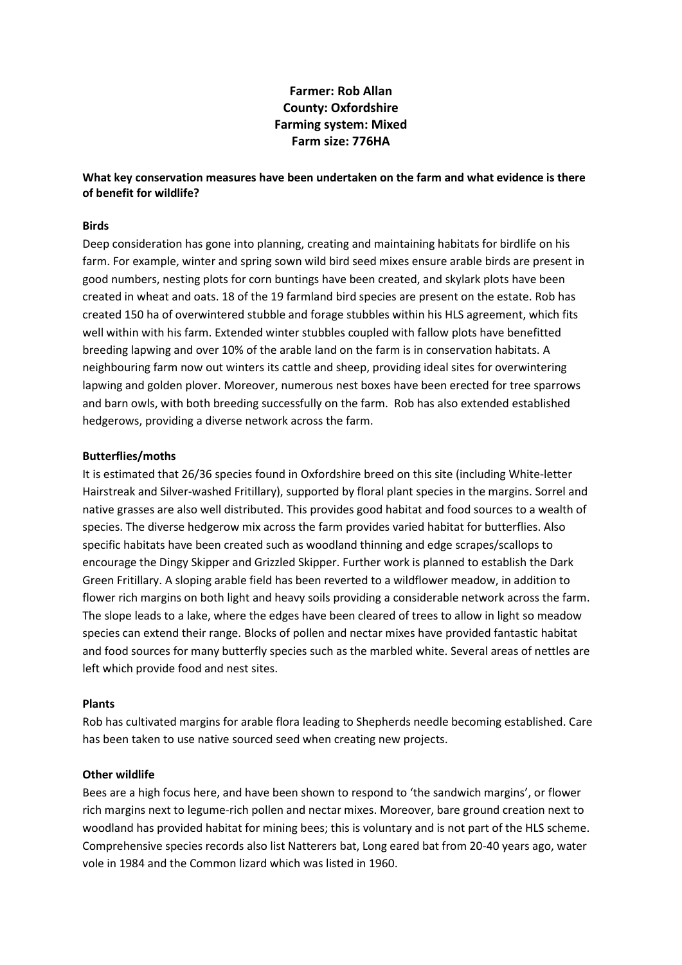# **Farmer: Rob Allan County: Oxfordshire Farming system: Mixed Farm size: 776HA**

## **What key conservation measures have been undertaken on the farm and what evidence is there of benefit for wildlife?**

### **Birds**

Deep consideration has gone into planning, creating and maintaining habitats for birdlife on his farm. For example, winter and spring sown wild bird seed mixes ensure arable birds are present in good numbers, nesting plots for corn buntings have been created, and skylark plots have been created in wheat and oats. 18 of the 19 farmland bird species are present on the estate. Rob has created 150 ha of overwintered stubble and forage stubbles within his HLS agreement, which fits well within with his farm. Extended winter stubbles coupled with fallow plots have benefitted breeding lapwing and over 10% of the arable land on the farm is in conservation habitats. A neighbouring farm now out winters its cattle and sheep, providing ideal sites for overwintering lapwing and golden plover. Moreover, numerous nest boxes have been erected for tree sparrows and barn owls, with both breeding successfully on the farm. Rob has also extended established hedgerows, providing a diverse network across the farm.

### **Butterflies/moths**

It is estimated that 26/36 species found in Oxfordshire breed on this site (including White-letter Hairstreak and Silver-washed Fritillary), supported by floral plant species in the margins. Sorrel and native grasses are also well distributed. This provides good habitat and food sources to a wealth of species. The diverse hedgerow mix across the farm provides varied habitat for butterflies. Also specific habitats have been created such as woodland thinning and edge scrapes/scallops to encourage the Dingy Skipper and Grizzled Skipper. Further work is planned to establish the Dark Green Fritillary. A sloping arable field has been reverted to a wildflower meadow, in addition to flower rich margins on both light and heavy soils providing a considerable network across the farm. The slope leads to a lake, where the edges have been cleared of trees to allow in light so meadow species can extend their range. Blocks of pollen and nectar mixes have provided fantastic habitat and food sources for many butterfly species such as the marbled white. Several areas of nettles are left which provide food and nest sites.

#### **Plants**

Rob has cultivated margins for arable flora leading to Shepherds needle becoming established. Care has been taken to use native sourced seed when creating new projects.

#### **Other wildlife**

Bees are a high focus here, and have been shown to respond to 'the sandwich margins', or flower rich margins next to legume-rich pollen and nectar mixes. Moreover, bare ground creation next to woodland has provided habitat for mining bees; this is voluntary and is not part of the HLS scheme. Comprehensive species records also list Natterers bat, Long eared bat from 20-40 years ago, water vole in 1984 and the Common lizard which was listed in 1960.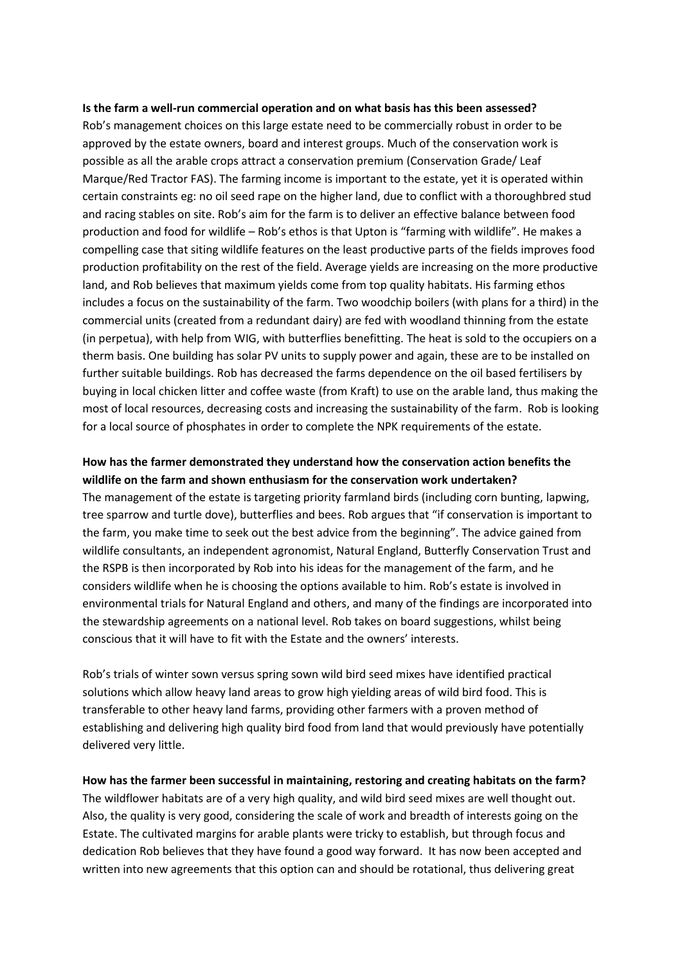#### **Is the farm a well-run commercial operation and on what basis has this been assessed?**

Rob's management choices on this large estate need to be commercially robust in order to be approved by the estate owners, board and interest groups. Much of the conservation work is possible as all the arable crops attract a conservation premium (Conservation Grade/ Leaf Marque/Red Tractor FAS). The farming income is important to the estate, yet it is operated within certain constraints eg: no oil seed rape on the higher land, due to conflict with a thoroughbred stud and racing stables on site. Rob's aim for the farm is to deliver an effective balance between food production and food for wildlife – Rob's ethos is that Upton is "farming with wildlife". He makes a compelling case that siting wildlife features on the least productive parts of the fields improves food production profitability on the rest of the field. Average yields are increasing on the more productive land, and Rob believes that maximum yields come from top quality habitats. His farming ethos includes a focus on the sustainability of the farm. Two woodchip boilers (with plans for a third) in the commercial units (created from a redundant dairy) are fed with woodland thinning from the estate (in perpetua), with help from WIG, with butterflies benefitting. The heat is sold to the occupiers on a therm basis. One building has solar PV units to supply power and again, these are to be installed on further suitable buildings. Rob has decreased the farms dependence on the oil based fertilisers by buying in local chicken litter and coffee waste (from Kraft) to use on the arable land, thus making the most of local resources, decreasing costs and increasing the sustainability of the farm. Rob is looking for a local source of phosphates in order to complete the NPK requirements of the estate.

## **How has the farmer demonstrated they understand how the conservation action benefits the wildlife on the farm and shown enthusiasm for the conservation work undertaken?**

The management of the estate is targeting priority farmland birds (including corn bunting, lapwing, tree sparrow and turtle dove), butterflies and bees. Rob argues that "if conservation is important to the farm, you make time to seek out the best advice from the beginning". The advice gained from wildlife consultants, an independent agronomist, Natural England, Butterfly Conservation Trust and the RSPB is then incorporated by Rob into his ideas for the management of the farm, and he considers wildlife when he is choosing the options available to him. Rob's estate is involved in environmental trials for Natural England and others, and many of the findings are incorporated into the stewardship agreements on a national level. Rob takes on board suggestions, whilst being conscious that it will have to fit with the Estate and the owners' interests.

Rob's trials of winter sown versus spring sown wild bird seed mixes have identified practical solutions which allow heavy land areas to grow high yielding areas of wild bird food. This is transferable to other heavy land farms, providing other farmers with a proven method of establishing and delivering high quality bird food from land that would previously have potentially delivered very little.

**How has the farmer been successful in maintaining, restoring and creating habitats on the farm?** The wildflower habitats are of a very high quality, and wild bird seed mixes are well thought out. Also, the quality is very good, considering the scale of work and breadth of interests going on the Estate. The cultivated margins for arable plants were tricky to establish, but through focus and dedication Rob believes that they have found a good way forward. It has now been accepted and written into new agreements that this option can and should be rotational, thus delivering great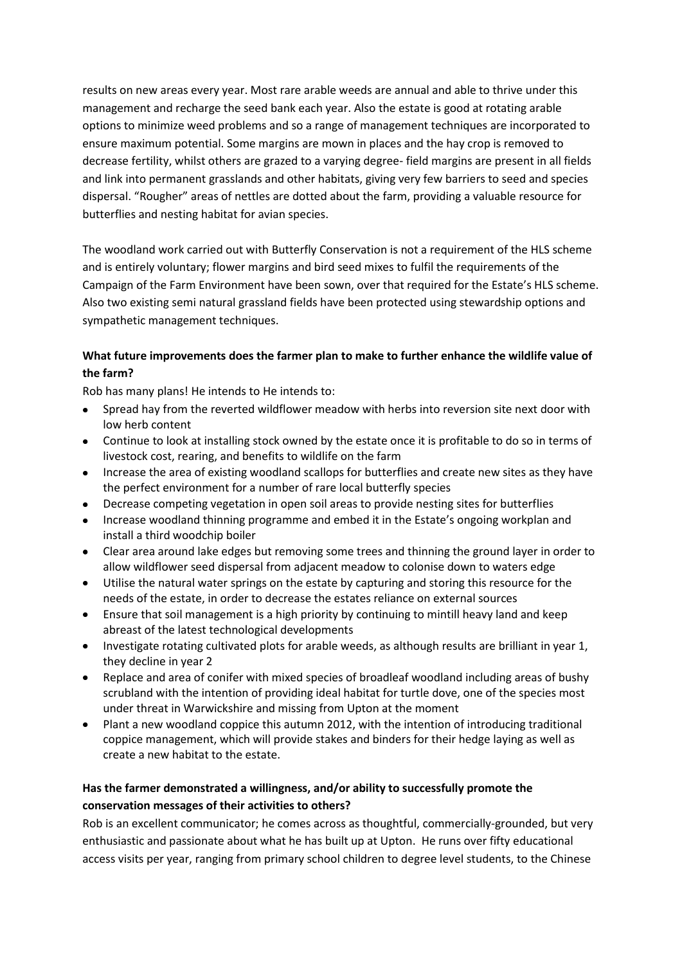results on new areas every year. Most rare arable weeds are annual and able to thrive under this management and recharge the seed bank each year. Also the estate is good at rotating arable options to minimize weed problems and so a range of management techniques are incorporated to ensure maximum potential. Some margins are mown in places and the hay crop is removed to decrease fertility, whilst others are grazed to a varying degree- field margins are present in all fields and link into permanent grasslands and other habitats, giving very few barriers to seed and species dispersal. "Rougher" areas of nettles are dotted about the farm, providing a valuable resource for butterflies and nesting habitat for avian species.

The woodland work carried out with Butterfly Conservation is not a requirement of the HLS scheme and is entirely voluntary; flower margins and bird seed mixes to fulfil the requirements of the Campaign of the Farm Environment have been sown, over that required for the Estate's HLS scheme. Also two existing semi natural grassland fields have been protected using stewardship options and sympathetic management techniques.

## **What future improvements does the farmer plan to make to further enhance the wildlife value of the farm?**

Rob has many plans! He intends to He intends to:

- Spread hay from the reverted wildflower meadow with herbs into reversion site next door with low herb content
- Continue to look at installing stock owned by the estate once it is profitable to do so in terms of livestock cost, rearing, and benefits to wildlife on the farm
- Increase the area of existing woodland scallops for butterflies and create new sites as they have the perfect environment for a number of rare local butterfly species
- Decrease competing vegetation in open soil areas to provide nesting sites for butterflies
- Increase woodland thinning programme and embed it in the Estate's ongoing workplan and install a third woodchip boiler
- Clear area around lake edges but removing some trees and thinning the ground layer in order to allow wildflower seed dispersal from adjacent meadow to colonise down to waters edge
- Utilise the natural water springs on the estate by capturing and storing this resource for the needs of the estate, in order to decrease the estates reliance on external sources
- Ensure that soil management is a high priority by continuing to mintill heavy land and keep abreast of the latest technological developments
- Investigate rotating cultivated plots for arable weeds, as although results are brilliant in year 1, they decline in year 2
- Replace and area of conifer with mixed species of broadleaf woodland including areas of bushy scrubland with the intention of providing ideal habitat for turtle dove, one of the species most under threat in Warwickshire and missing from Upton at the moment
- Plant a new woodland coppice this autumn 2012, with the intention of introducing traditional coppice management, which will provide stakes and binders for their hedge laying as well as create a new habitat to the estate.

# **Has the farmer demonstrated a willingness, and/or ability to successfully promote the conservation messages of their activities to others?**

Rob is an excellent communicator; he comes across as thoughtful, commercially-grounded, but very enthusiastic and passionate about what he has built up at Upton. He runs over fifty educational access visits per year, ranging from primary school children to degree level students, to the Chinese